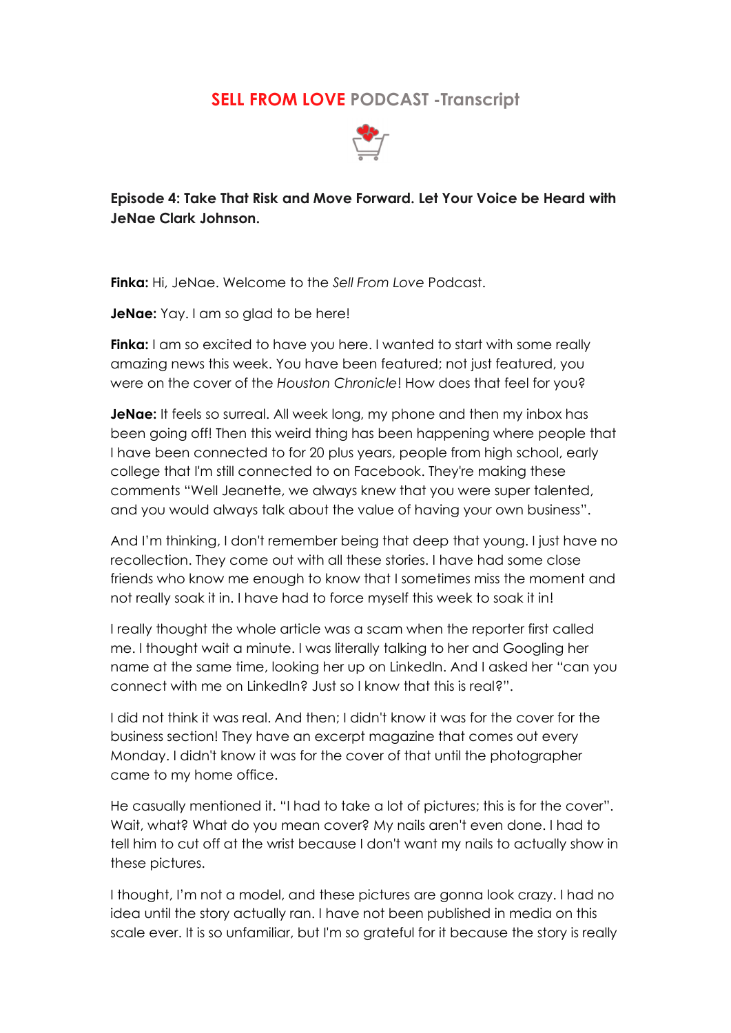## **SELL FROM LOVE PODCAST -Transcript**



**Episode 4: Take That Risk and Move Forward. Let Your Voice be Heard with JeNae Clark Johnson.**

**Finka:** Hi, JeNae. Welcome to the *Sell From Love* Podcast.

**JeNae:** Yay. I am so glad to be here!

**Finka:** I am so excited to have you here. I wanted to start with some really amazing news this week. You have been featured; not just featured, you were on the cover of the *Houston Chronicle*! How does that feel for you?

**JeNae:** It feels so surreal. All week long, my phone and then my inbox has been going off! Then this weird thing has been happening where people that I have been connected to for 20 plus years, people from high school, early college that I'm still connected to on Facebook. They're making these comments "Well Jeanette, we always knew that you were super talented, and you would always talk about the value of having your own business".

And I'm thinking, I don't remember being that deep that young. I just have no recollection. They come out with all these stories. I have had some close friends who know me enough to know that I sometimes miss the moment and not really soak it in. I have had to force myself this week to soak it in!

I really thought the whole article was a scam when the reporter first called me. I thought wait a minute. I was literally talking to her and Googling her name at the same time, looking her up on LinkedIn. And I asked her "can you connect with me on LinkedIn? Just so I know that this is real?".

I did not think it was real. And then; I didn't know it was for the cover for the business section! They have an excerpt magazine that comes out every Monday. I didn't know it was for the cover of that until the photographer came to my home office.

He casually mentioned it. "I had to take a lot of pictures; this is for the cover". Wait, what? What do you mean cover? My nails aren't even done. I had to tell him to cut off at the wrist because I don't want my nails to actually show in these pictures.

I thought, I'm not a model, and these pictures are gonna look crazy. I had no idea until the story actually ran. I have not been published in media on this scale ever. It is so unfamiliar, but I'm so grateful for it because the story is really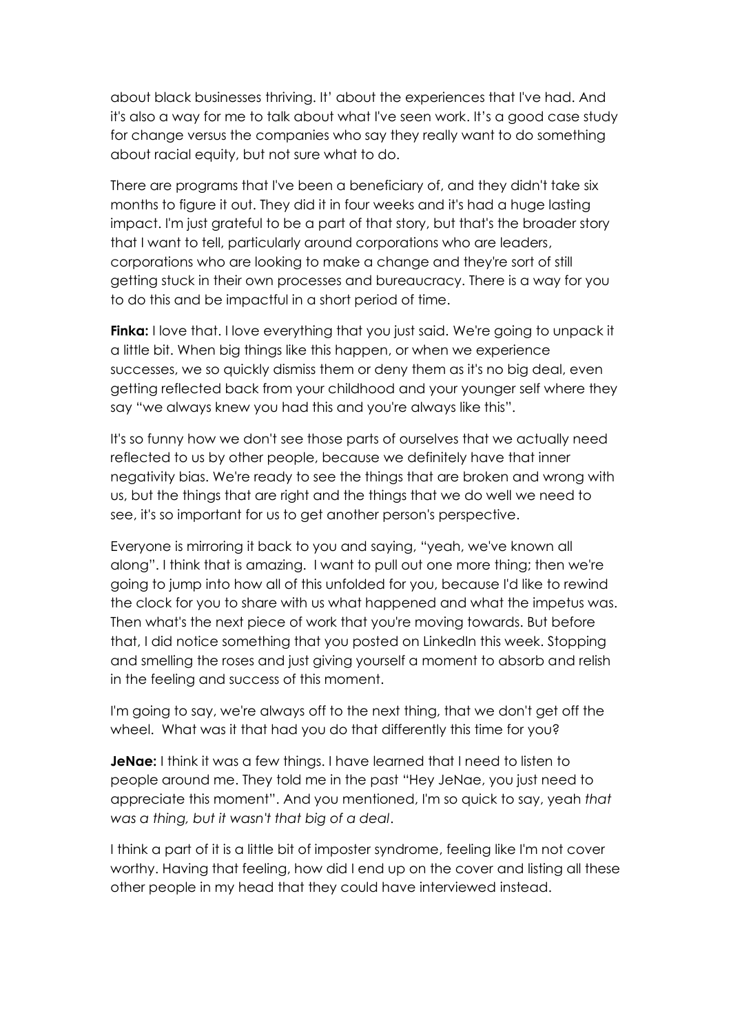about black businesses thriving. It' about the experiences that I've had. And it's also a way for me to talk about what I've seen work. It's a good case study for change versus the companies who say they really want to do something about racial equity, but not sure what to do.

There are programs that I've been a beneficiary of, and they didn't take six months to figure it out. They did it in four weeks and it's had a huge lasting impact. I'm just grateful to be a part of that story, but that's the broader story that I want to tell, particularly around corporations who are leaders, corporations who are looking to make a change and they're sort of still getting stuck in their own processes and bureaucracy. There is a way for you to do this and be impactful in a short period of time.

**Finka:** I love that. I love everything that you just said. We're going to unpack it a little bit. When big things like this happen, or when we experience successes, we so quickly dismiss them or deny them as it's no big deal, even getting reflected back from your childhood and your younger self where they say "we always knew you had this and you're always like this".

It's so funny how we don't see those parts of ourselves that we actually need reflected to us by other people, because we definitely have that inner negativity bias. We're ready to see the things that are broken and wrong with us, but the things that are right and the things that we do well we need to see, it's so important for us to get another person's perspective.

Everyone is mirroring it back to you and saying, "yeah, we've known all along". I think that is amazing. I want to pull out one more thing; then we're going to jump into how all of this unfolded for you, because I'd like to rewind the clock for you to share with us what happened and what the impetus was. Then what's the next piece of work that you're moving towards. But before that, I did notice something that you posted on LinkedIn this week. Stopping and smelling the roses and just giving yourself a moment to absorb and relish in the feeling and success of this moment.

I'm going to say, we're always off to the next thing, that we don't get off the wheel. What was it that had you do that differently this time for you?

**JeNae:** I think it was a few things. I have learned that I need to listen to people around me. They told me in the past "Hey JeNae, you just need to appreciate this moment". And you mentioned, I'm so quick to say, yeah *that was a thing, but it wasn't that big of a deal*.

I think a part of it is a little bit of imposter syndrome, feeling like I'm not cover worthy. Having that feeling, how did I end up on the cover and listing all these other people in my head that they could have interviewed instead.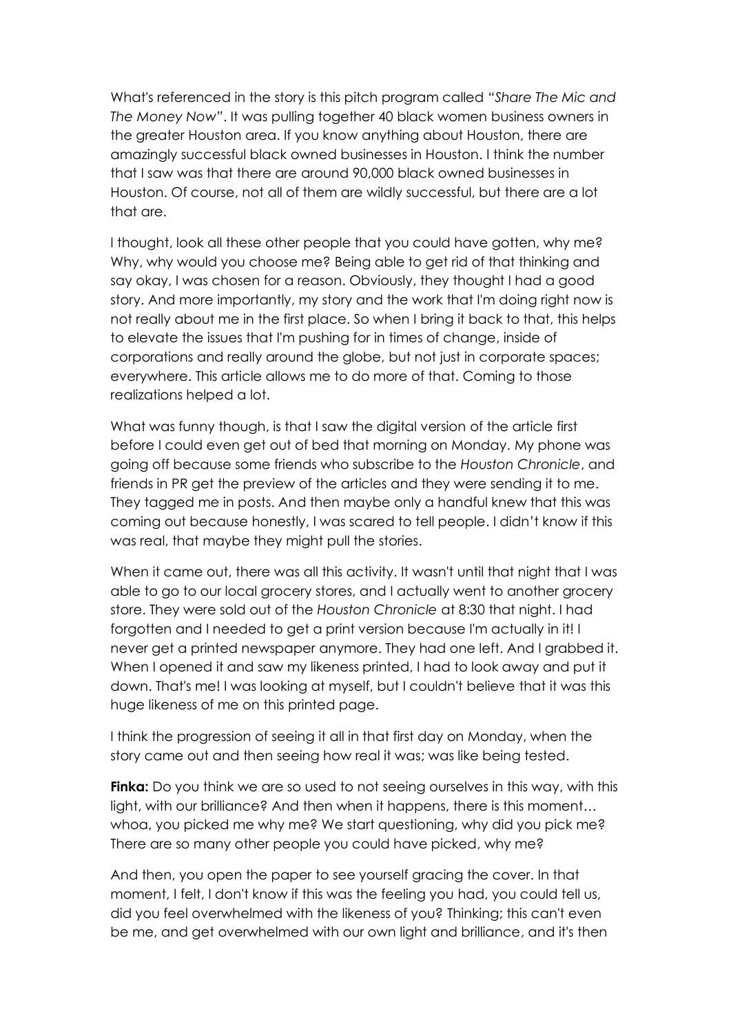What's referenced in the story is this pitch program called *"Share The Mic and The Money Now"*. It was pulling together 40 black women business owners in the greater Houston area. If you know anything about Houston, there are amazingly successful black owned businesses in Houston. I think the number that I saw was that there are around 90,000 black owned businesses in Houston. Of course, not all of them are wildly successful, but there are a lot that are.

I thought, look all these other people that you could have gotten, why me? Why, why would you choose me? Being able to get rid of that thinking and say okay, I was chosen for a reason. Obviously, they thought I had a good story. And more importantly, my story and the work that I'm doing right now is not really about me in the first place. So when I bring it back to that, this helps to elevate the issues that I'm pushing for in times of change, inside of corporations and really around the globe, but not just in corporate spaces; everywhere. This article allows me to do more of that. Coming to those realizations helped a lot.

What was funny though, is that I saw the digital version of the article first before I could even get out of bed that morning on Monday. My phone was going off because some friends who subscribe to the *Houston Chronicle*, and friends in PR get the preview of the articles and they were sending it to me. They tagged me in posts. And then maybe only a handful knew that this was coming out because honestly, I was scared to tell people. I didn't know if this was real, that maybe they might pull the stories.

When it came out, there was all this activity. It wasn't until that night that I was able to go to our local grocery stores, and I actually went to another grocery store. They were sold out of the *Houston Chronicle* at 8:30 that night. I had forgotten and I needed to get a print version because I'm actually in it! I never get a printed newspaper anymore. They had one left. And I grabbed it. When I opened it and saw my likeness printed, I had to look away and put it down. That's me! I was looking at myself, but I couldn't believe that it was this huge likeness of me on this printed page.

I think the progression of seeing it all in that first day on Monday, when the story came out and then seeing how real it was; was like being tested.

**Finka:** Do you think we are so used to not seeing ourselves in this way, with this light, with our brilliance? And then when it happens, there is this moment… whoa, you picked me why me? We start questioning, why did you pick me? There are so many other people you could have picked, why me?

And then, you open the paper to see yourself gracing the cover. In that moment, I felt, I don't know if this was the feeling you had, you could tell us, did you feel overwhelmed with the likeness of you? Thinking; this can't even be me, and get overwhelmed with our own light and brilliance, and it's then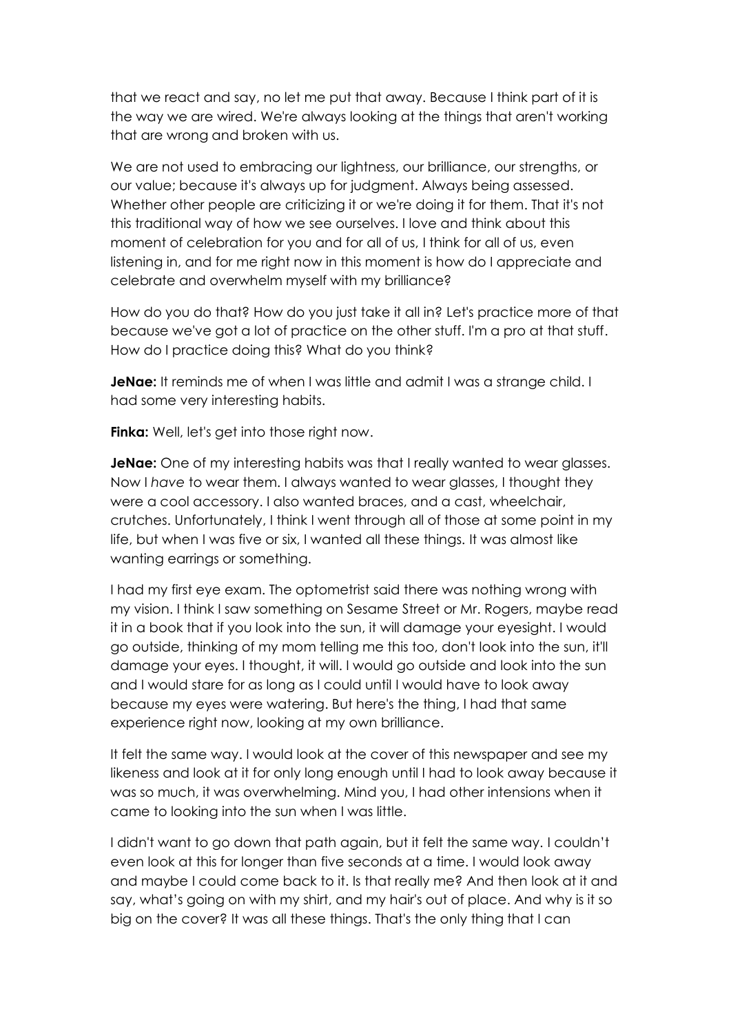that we react and say, no let me put that away. Because I think part of it is the way we are wired. We're always looking at the things that aren't working that are wrong and broken with us.

We are not used to embracing our lightness, our brilliance, our strengths, or our value; because it's always up for judgment. Always being assessed. Whether other people are criticizing it or we're doing it for them. That it's not this traditional way of how we see ourselves. I love and think about this moment of celebration for you and for all of us, I think for all of us, even listening in, and for me right now in this moment is how do I appreciate and celebrate and overwhelm myself with my brilliance?

How do you do that? How do you just take it all in? Let's practice more of that because we've got a lot of practice on the other stuff. I'm a pro at that stuff. How do I practice doing this? What do you think?

**JeNae:** It reminds me of when I was little and admit I was a strange child. I had some very interesting habits.

**Finka:** Well, let's get into those right now.

**JeNae:** One of my interesting habits was that I really wanted to wear glasses. Now I *have* to wear them. I always wanted to wear glasses, I thought they were a cool accessory. I also wanted braces, and a cast, wheelchair, crutches. Unfortunately, I think I went through all of those at some point in my life, but when I was five or six, I wanted all these things. It was almost like wanting earrings or something.

I had my first eye exam. The optometrist said there was nothing wrong with my vision. I think I saw something on Sesame Street or Mr. Rogers, maybe read it in a book that if you look into the sun, it will damage your eyesight. I would go outside, thinking of my mom telling me this too, don't look into the sun, it'll damage your eyes. I thought, it will. I would go outside and look into the sun and I would stare for as long as I could until I would have to look away because my eyes were watering. But here's the thing, I had that same experience right now, looking at my own brilliance.

It felt the same way. I would look at the cover of this newspaper and see my likeness and look at it for only long enough until I had to look away because it was so much, it was overwhelming. Mind you, I had other intensions when it came to looking into the sun when I was little.

I didn't want to go down that path again, but it felt the same way. I couldn't even look at this for longer than five seconds at a time. I would look away and maybe I could come back to it. Is that really me? And then look at it and say, what's going on with my shirt, and my hair's out of place. And why is it so big on the cover? It was all these things. That's the only thing that I can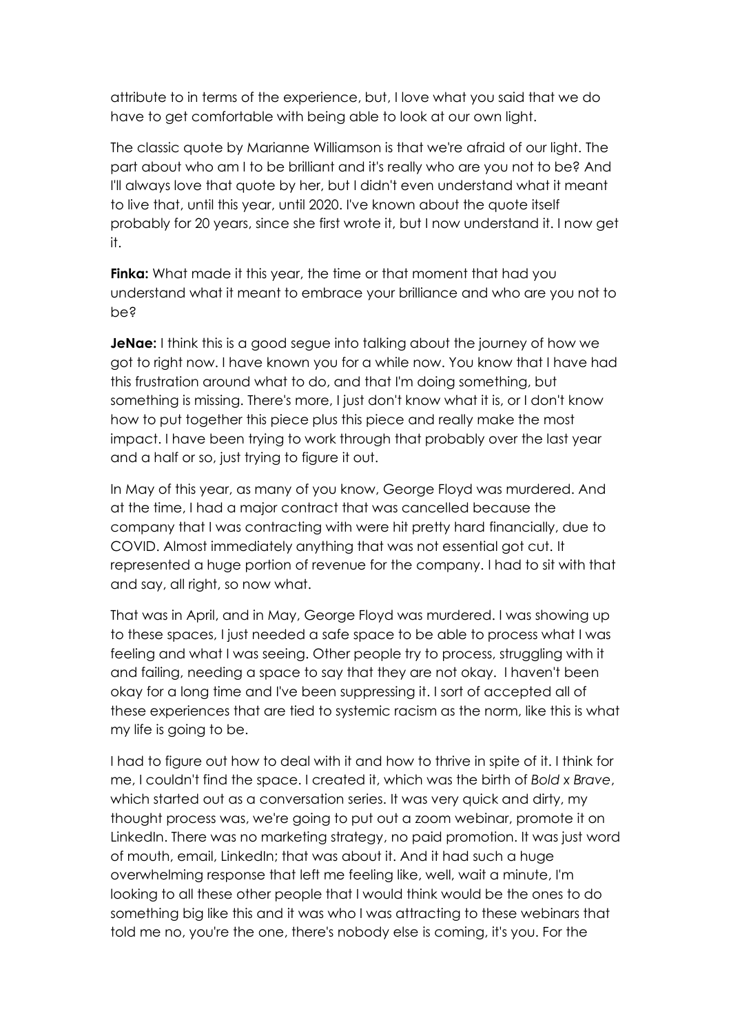attribute to in terms of the experience, but, I love what you said that we do have to get comfortable with being able to look at our own light.

The classic quote by Marianne Williamson is that we're afraid of our light. The part about who am I to be brilliant and it's really who are you not to be? And I'll always love that quote by her, but I didn't even understand what it meant to live that, until this year, until 2020. I've known about the quote itself probably for 20 years, since she first wrote it, but I now understand it. I now get it.

**Finka:** What made it this year, the time or that moment that had you understand what it meant to embrace your brilliance and who are you not to be?

**JeNae:** I think this is a good segue into talking about the journey of how we got to right now. I have known you for a while now. You know that I have had this frustration around what to do, and that I'm doing something, but something is missing. There's more, I just don't know what it is, or I don't know how to put together this piece plus this piece and really make the most impact. I have been trying to work through that probably over the last year and a half or so, just trying to figure it out.

In May of this year, as many of you know, George Floyd was murdered. And at the time, I had a major contract that was cancelled because the company that I was contracting with were hit pretty hard financially, due to COVID. Almost immediately anything that was not essential got cut. It represented a huge portion of revenue for the company. I had to sit with that and say, all right, so now what.

That was in April, and in May, George Floyd was murdered. I was showing up to these spaces, I just needed a safe space to be able to process what I was feeling and what I was seeing. Other people try to process, struggling with it and failing, needing a space to say that they are not okay. I haven't been okay for a long time and I've been suppressing it. I sort of accepted all of these experiences that are tied to systemic racism as the norm, like this is what my life is going to be.

I had to figure out how to deal with it and how to thrive in spite of it. I think for me, I couldn't find the space. I created it, which was the birth of *Bold x Brave*, which started out as a conversation series. It was very quick and dirty, my thought process was, we're going to put out a zoom webinar, promote it on LinkedIn. There was no marketing strategy, no paid promotion. It was just word of mouth, email, LinkedIn; that was about it. And it had such a huge overwhelming response that left me feeling like, well, wait a minute, I'm looking to all these other people that I would think would be the ones to do something big like this and it was who I was attracting to these webinars that told me no, you're the one, there's nobody else is coming, it's you. For the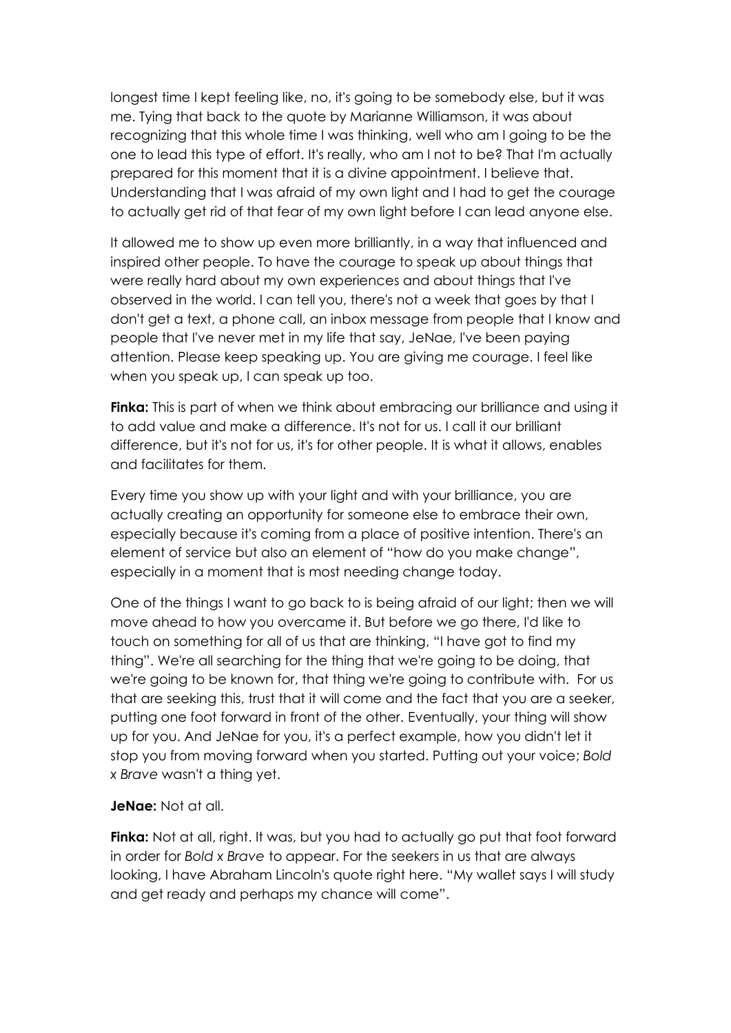longest time I kept feeling like, no, it's going to be somebody else, but it was me. Tying that back to the quote by Marianne Williamson, it was about recognizing that this whole time I was thinking, well who am I going to be the one to lead this type of effort. It's really, who am I not to be? That I'm actually prepared for this moment that it is a divine appointment. I believe that. Understanding that I was afraid of my own light and I had to get the courage to actually get rid of that fear of my own light before I can lead anyone else.

It allowed me to show up even more brilliantly, in a way that influenced and inspired other people. To have the courage to speak up about things that were really hard about my own experiences and about things that I've observed in the world. I can tell you, there's not a week that goes by that I don't get a text, a phone call, an inbox message from people that I know and people that I've never met in my life that say, JeNae, I've been paying attention. Please keep speaking up. You are giving me courage. I feel like when you speak up, I can speak up too.

**Finka:** This is part of when we think about embracing our brilliance and using it to add value and make a difference. It's not for us. I call it our brilliant difference, but it's not for us, it's for other people. It is what it allows, enables and facilitates for them.

Every time you show up with your light and with your brilliance, you are actually creating an opportunity for someone else to embrace their own, especially because it's coming from a place of positive intention. There's an element of service but also an element of "how do you make change", especially in a moment that is most needing change today.

One of the things I want to go back to is being afraid of our light; then we will move ahead to how you overcame it. But before we go there, I'd like to touch on something for all of us that are thinking, "I have got to find my thing". We're all searching for the thing that we're going to be doing, that we're going to be known for, that thing we're going to contribute with. For us that are seeking this, trust that it will come and the fact that you are a seeker, putting one foot forward in front of the other. Eventually, your thing will show up for you. And JeNae for you, it's a perfect example, how you didn't let it stop you from moving forward when you started. Putting out your voice; *Bold x Brave* wasn't a thing yet.

## **JeNae:** Not at all.

**Finka:** Not at all, right. It was, but you had to actually go put that foot forward in order for *Bold x Brave* to appear. For the seekers in us that are always looking, I have Abraham Lincoln's quote right here. "My wallet says I will study and get ready and perhaps my chance will come".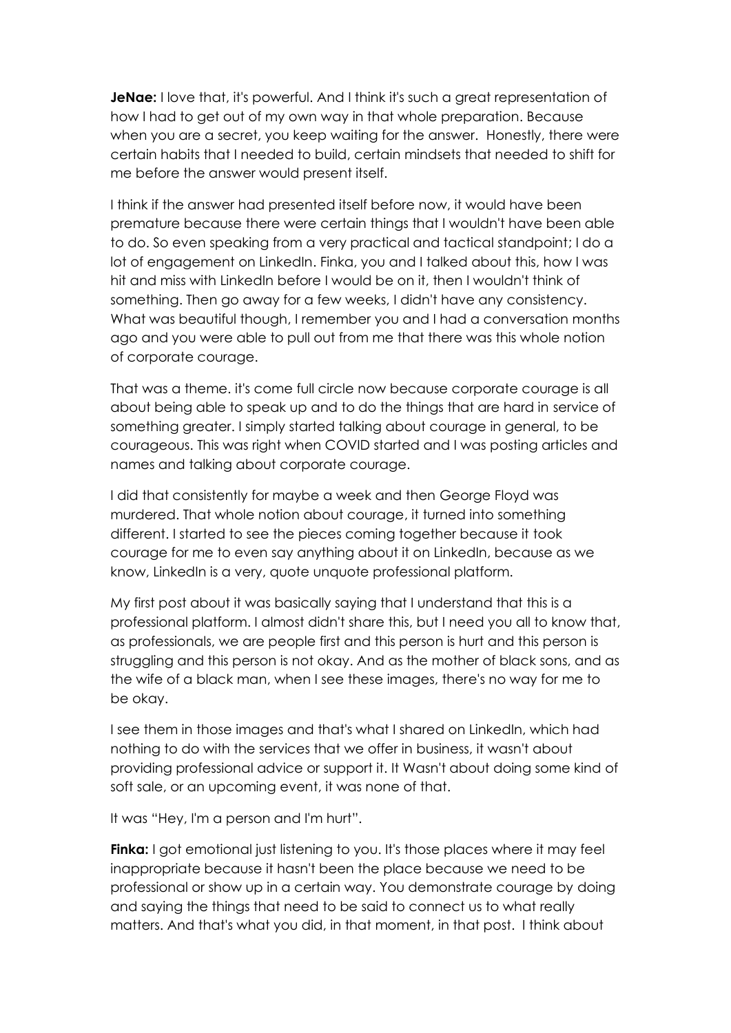**JeNae:** I love that, it's powerful. And I think it's such a great representation of how I had to get out of my own way in that whole preparation. Because when you are a secret, you keep waiting for the answer. Honestly, there were certain habits that I needed to build, certain mindsets that needed to shift for me before the answer would present itself.

I think if the answer had presented itself before now, it would have been premature because there were certain things that I wouldn't have been able to do. So even speaking from a very practical and tactical standpoint; I do a lot of engagement on LinkedIn. Finka, you and I talked about this, how I was hit and miss with LinkedIn before I would be on it, then I wouldn't think of something. Then go away for a few weeks, I didn't have any consistency. What was beautiful though, I remember you and I had a conversation months ago and you were able to pull out from me that there was this whole notion of corporate courage.

That was a theme. it's come full circle now because corporate courage is all about being able to speak up and to do the things that are hard in service of something greater. I simply started talking about courage in general, to be courageous. This was right when COVID started and I was posting articles and names and talking about corporate courage.

I did that consistently for maybe a week and then George Floyd was murdered. That whole notion about courage, it turned into something different. I started to see the pieces coming together because it took courage for me to even say anything about it on LinkedIn, because as we know, LinkedIn is a very, quote unquote professional platform.

My first post about it was basically saying that I understand that this is a professional platform. I almost didn't share this, but I need you all to know that, as professionals, we are people first and this person is hurt and this person is struggling and this person is not okay. And as the mother of black sons, and as the wife of a black man, when I see these images, there's no way for me to be okay.

I see them in those images and that's what I shared on LinkedIn, which had nothing to do with the services that we offer in business, it wasn't about providing professional advice or support it. It Wasn't about doing some kind of soft sale, or an upcoming event, it was none of that.

It was "Hey, I'm a person and I'm hurt".

**Finka:** I got emotional just listening to you. It's those places where it may feel inappropriate because it hasn't been the place because we need to be professional or show up in a certain way. You demonstrate courage by doing and saying the things that need to be said to connect us to what really matters. And that's what you did, in that moment, in that post. I think about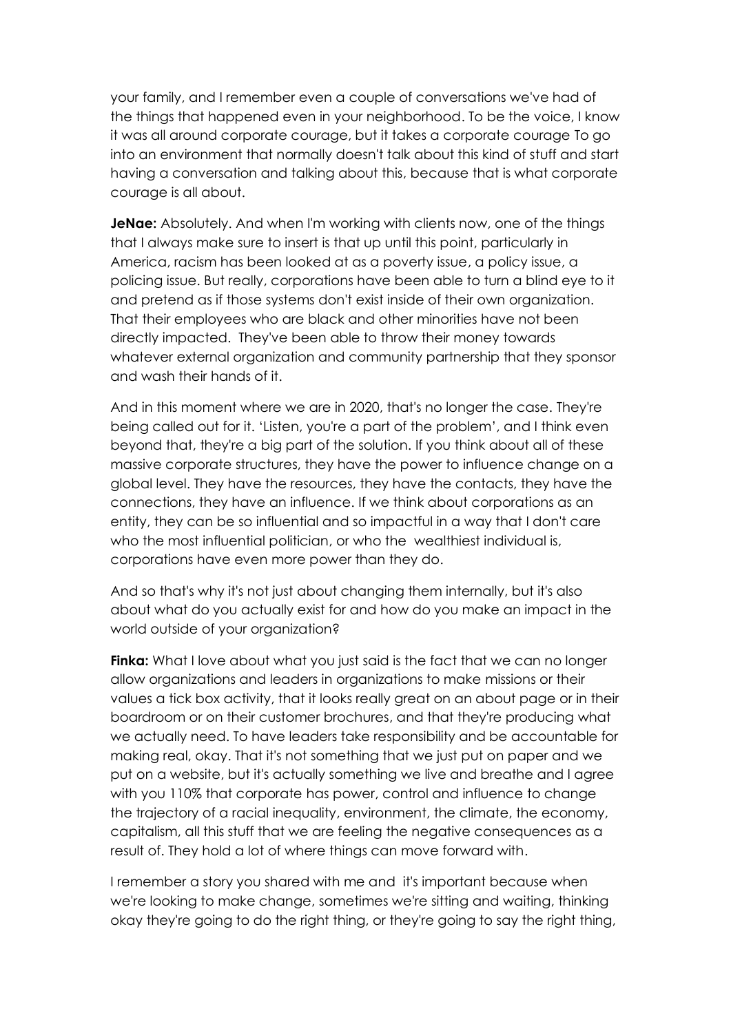your family, and I remember even a couple of conversations we've had of the things that happened even in your neighborhood. To be the voice, I know it was all around corporate courage, but it takes a corporate courage To go into an environment that normally doesn't talk about this kind of stuff and start having a conversation and talking about this, because that is what corporate courage is all about.

**JeNae:** Absolutely. And when I'm working with clients now, one of the things that I always make sure to insert is that up until this point, particularly in America, racism has been looked at as a poverty issue, a policy issue, a policing issue. But really, corporations have been able to turn a blind eye to it and pretend as if those systems don't exist inside of their own organization. That their employees who are black and other minorities have not been directly impacted. They've been able to throw their money towards whatever external organization and community partnership that they sponsor and wash their hands of it.

And in this moment where we are in 2020, that's no longer the case. They're being called out for it. 'Listen, you're a part of the problem', and I think even beyond that, they're a big part of the solution. If you think about all of these massive corporate structures, they have the power to influence change on a global level. They have the resources, they have the contacts, they have the connections, they have an influence. If we think about corporations as an entity, they can be so influential and so impactful in a way that I don't care who the most influential politician, or who the wealthiest individual is, corporations have even more power than they do.

And so that's why it's not just about changing them internally, but it's also about what do you actually exist for and how do you make an impact in the world outside of your organization?

**Finka:** What I love about what you just said is the fact that we can no longer allow organizations and leaders in organizations to make missions or their values a tick box activity, that it looks really great on an about page or in their boardroom or on their customer brochures, and that they're producing what we actually need. To have leaders take responsibility and be accountable for making real, okay. That it's not something that we just put on paper and we put on a website, but it's actually something we live and breathe and I agree with you 110% that corporate has power, control and influence to change the trajectory of a racial inequality, environment, the climate, the economy, capitalism, all this stuff that we are feeling the negative consequences as a result of. They hold a lot of where things can move forward with.

I remember a story you shared with me and it's important because when we're looking to make change, sometimes we're sitting and waiting, thinking okay they're going to do the right thing, or they're going to say the right thing,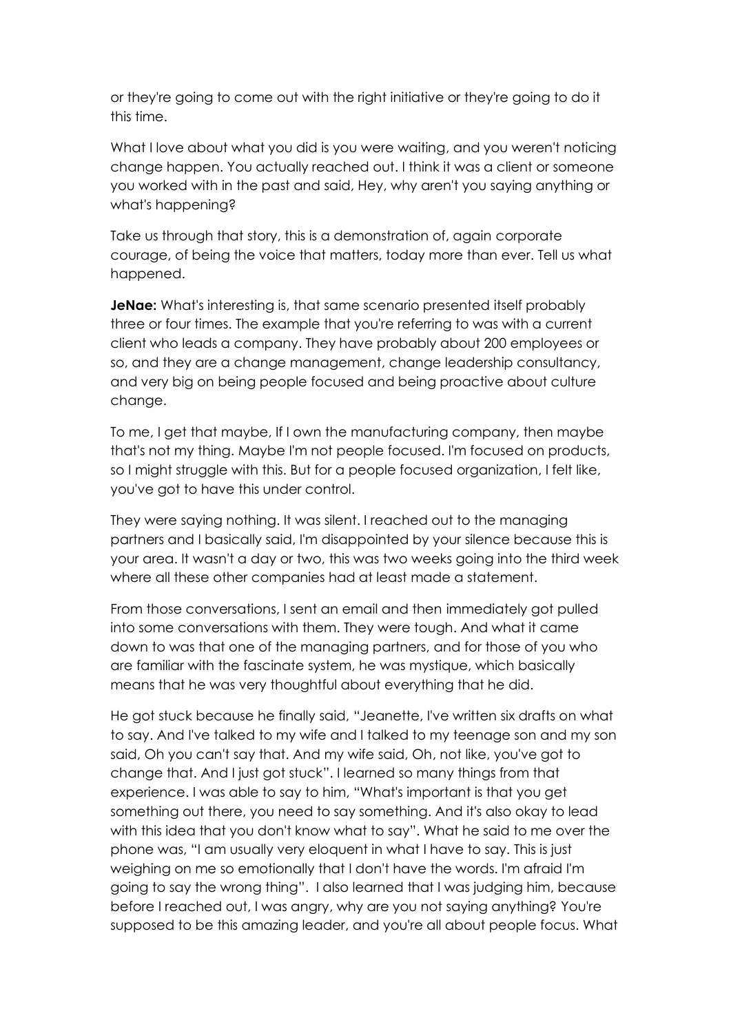or they're going to come out with the right initiative or they're going to do it this time.

What I love about what you did is you were waiting, and you weren't noticing change happen. You actually reached out. I think it was a client or someone you worked with in the past and said, Hey, why aren't you saying anything or what's happening?

Take us through that story, this is a demonstration of, again corporate courage, of being the voice that matters, today more than ever. Tell us what happened.

**JeNae:** What's interesting is, that same scenario presented itself probably three or four times. The example that you're referring to was with a current client who leads a company. They have probably about 200 employees or so, and they are a change management, change leadership consultancy, and very big on being people focused and being proactive about culture change.

To me, I get that maybe, If I own the manufacturing company, then maybe that's not my thing. Maybe I'm not people focused. I'm focused on products, so I might struggle with this. But for a people focused organization, I felt like, you've got to have this under control.

They were saying nothing. It was silent. I reached out to the managing partners and I basically said, I'm disappointed by your silence because this is your area. It wasn't a day or two, this was two weeks going into the third week where all these other companies had at least made a statement.

From those conversations, I sent an email and then immediately got pulled into some conversations with them. They were tough. And what it came down to was that one of the managing partners, and for those of you who are familiar with the fascinate system, he was mystique, which basically means that he was very thoughtful about everything that he did.

He got stuck because he finally said, "Jeanette, I've written six drafts on what to say. And I've talked to my wife and I talked to my teenage son and my son said, Oh you can't say that. And my wife said, Oh, not like, you've got to change that. And I just got stuck". I learned so many things from that experience. I was able to say to him, "What's important is that you get something out there, you need to say something. And it's also okay to lead with this idea that you don't know what to say". What he said to me over the phone was, "I am usually very eloquent in what I have to say. This is just weighing on me so emotionally that I don't have the words. I'm afraid I'm going to say the wrong thing". I also learned that I was judging him, because before I reached out, I was angry, why are you not saying anything? You're supposed to be this amazing leader, and you're all about people focus. What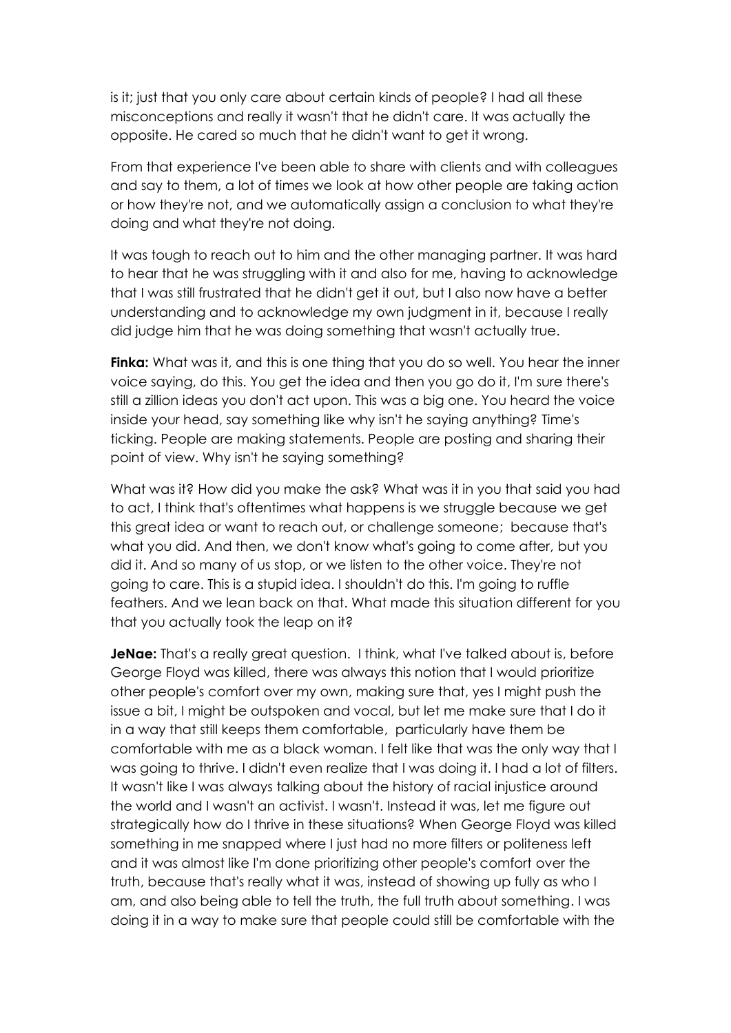is it; just that you only care about certain kinds of people? I had all these misconceptions and really it wasn't that he didn't care. It was actually the opposite. He cared so much that he didn't want to get it wrong.

From that experience I've been able to share with clients and with colleagues and say to them, a lot of times we look at how other people are taking action or how they're not, and we automatically assign a conclusion to what they're doing and what they're not doing.

It was tough to reach out to him and the other managing partner. It was hard to hear that he was struggling with it and also for me, having to acknowledge that I was still frustrated that he didn't get it out, but I also now have a better understanding and to acknowledge my own judgment in it, because I really did judge him that he was doing something that wasn't actually true.

**Finka:** What was it, and this is one thing that you do so well. You hear the inner voice saying, do this. You get the idea and then you go do it, I'm sure there's still a zillion ideas you don't act upon. This was a big one. You heard the voice inside your head, say something like why isn't he saying anything? Time's ticking. People are making statements. People are posting and sharing their point of view. Why isn't he saying something?

What was it? How did you make the ask? What was it in you that said you had to act, I think that's oftentimes what happens is we struggle because we get this great idea or want to reach out, or challenge someone; because that's what you did. And then, we don't know what's going to come after, but you did it. And so many of us stop, or we listen to the other voice. They're not going to care. This is a stupid idea. I shouldn't do this. I'm going to ruffle feathers. And we lean back on that. What made this situation different for you that you actually took the leap on it?

**JeNae:** That's a really great question. I think, what I've talked about is, before George Floyd was killed, there was always this notion that I would prioritize other people's comfort over my own, making sure that, yes I might push the issue a bit, I might be outspoken and vocal, but let me make sure that I do it in a way that still keeps them comfortable, particularly have them be comfortable with me as a black woman. I felt like that was the only way that I was going to thrive. I didn't even realize that I was doing it. I had a lot of filters. It wasn't like I was always talking about the history of racial injustice around the world and I wasn't an activist. I wasn't. Instead it was, let me figure out strategically how do I thrive in these situations? When George Floyd was killed something in me snapped where I just had no more filters or politeness left and it was almost like I'm done prioritizing other people's comfort over the truth, because that's really what it was, instead of showing up fully as who I am, and also being able to tell the truth, the full truth about something. I was doing it in a way to make sure that people could still be comfortable with the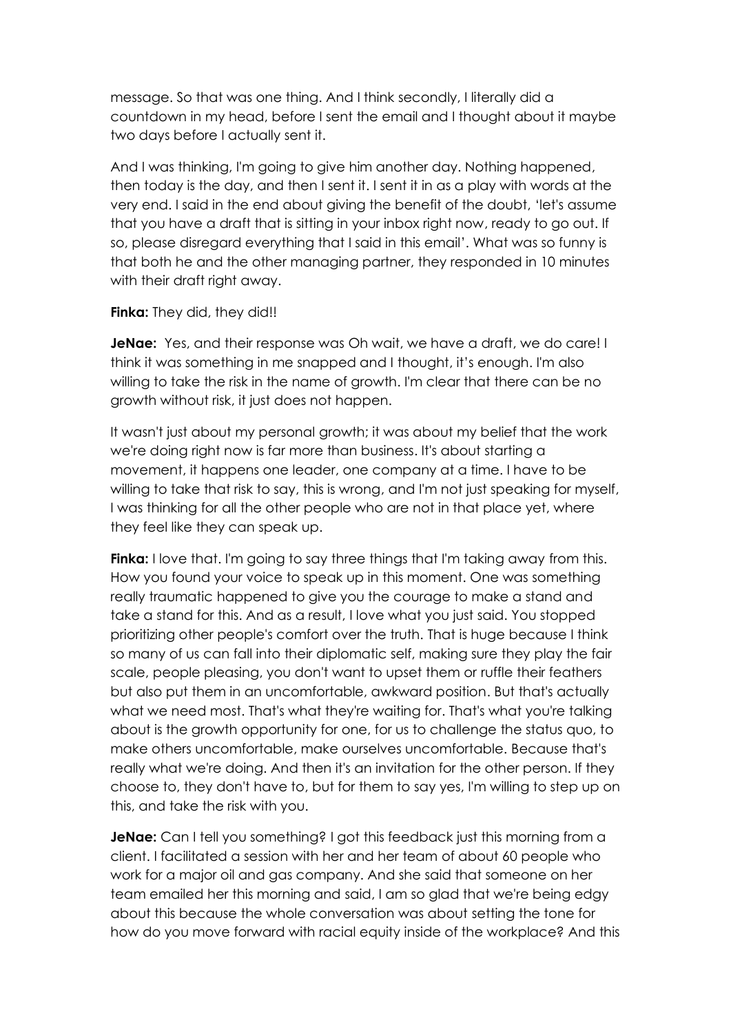message. So that was one thing. And I think secondly, I literally did a countdown in my head, before I sent the email and I thought about it maybe two days before I actually sent it.

And I was thinking, I'm going to give him another day. Nothing happened, then today is the day, and then I sent it. I sent it in as a play with words at the very end. I said in the end about giving the benefit of the doubt, 'let's assume that you have a draft that is sitting in your inbox right now, ready to go out. If so, please disregard everything that I said in this email'. What was so funny is that both he and the other managing partner, they responded in 10 minutes with their draft right away.

## **Finka:** They did, they did!!

**JeNae:** Yes, and their response was Oh wait, we have a draft, we do care! I think it was something in me snapped and I thought, it's enough. I'm also willing to take the risk in the name of growth. I'm clear that there can be no growth without risk, it just does not happen.

It wasn't just about my personal growth; it was about my belief that the work we're doing right now is far more than business. It's about starting a movement, it happens one leader, one company at a time. I have to be willing to take that risk to say, this is wrong, and I'm not just speaking for myself, I was thinking for all the other people who are not in that place yet, where they feel like they can speak up.

**Finka:** I love that. I'm going to say three things that I'm taking away from this. How you found your voice to speak up in this moment. One was something really traumatic happened to give you the courage to make a stand and take a stand for this. And as a result, I love what you just said. You stopped prioritizing other people's comfort over the truth. That is huge because I think so many of us can fall into their diplomatic self, making sure they play the fair scale, people pleasing, you don't want to upset them or ruffle their feathers but also put them in an uncomfortable, awkward position. But that's actually what we need most. That's what they're waiting for. That's what you're talking about is the growth opportunity for one, for us to challenge the status quo, to make others uncomfortable, make ourselves uncomfortable. Because that's really what we're doing. And then it's an invitation for the other person. If they choose to, they don't have to, but for them to say yes, I'm willing to step up on this, and take the risk with you.

**JeNae:** Can I tell you something? I got this feedback just this morning from a client. I facilitated a session with her and her team of about 60 people who work for a major oil and gas company. And she said that someone on her team emailed her this morning and said, I am so glad that we're being edgy about this because the whole conversation was about setting the tone for how do you move forward with racial equity inside of the workplace? And this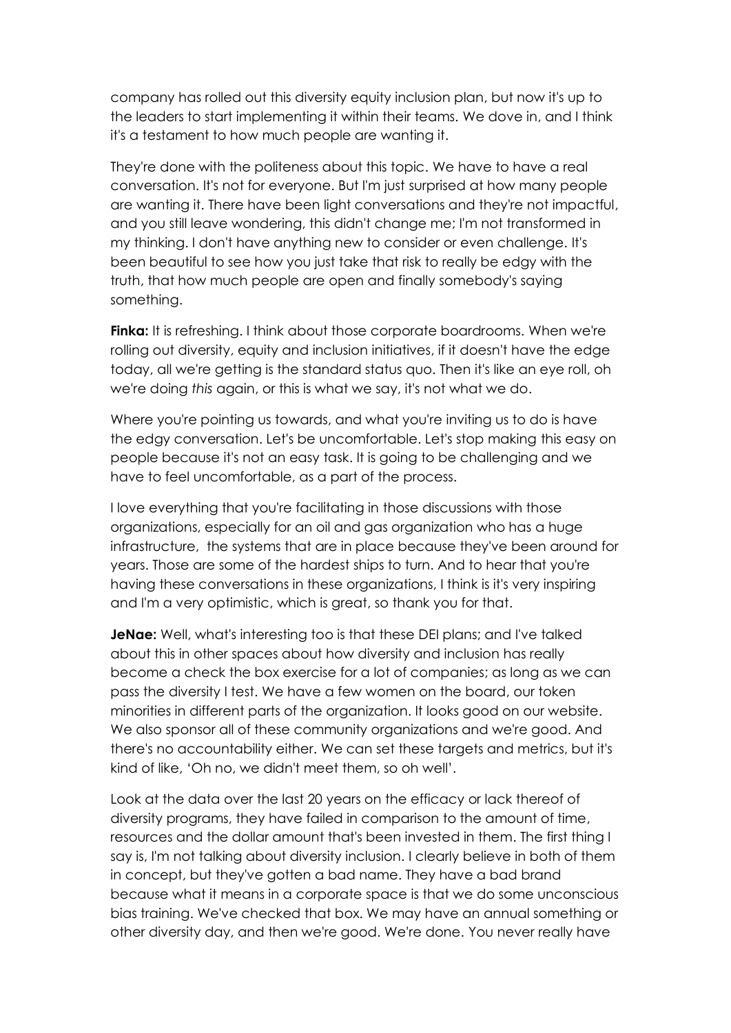company has rolled out this diversity equity inclusion plan, but now it's up to the leaders to start implementing it within their teams. We dove in, and I think it's a testament to how much people are wanting it.

They're done with the politeness about this topic. We have to have a real conversation. It's not for everyone. But I'm just surprised at how many people are wanting it. There have been light conversations and they're not impactful, and you still leave wondering, this didn't change me; I'm not transformed in my thinking. I don't have anything new to consider or even challenge. It's been beautiful to see how you just take that risk to really be edgy with the truth, that how much people are open and finally somebody's saying something.

**Finka:** It is refreshing. I think about those corporate boardrooms. When we're rolling out diversity, equity and inclusion initiatives, if it doesn't have the edge today, all we're getting is the standard status quo. Then it's like an eye roll, oh we're doing *this* again, or this is what we say, it's not what we do.

Where you're pointing us towards, and what you're inviting us to do is have the edgy conversation. Let's be uncomfortable. Let's stop making this easy on people because it's not an easy task. It is going to be challenging and we have to feel uncomfortable, as a part of the process.

I love everything that you're facilitating in those discussions with those organizations, especially for an oil and gas organization who has a huge infrastructure, the systems that are in place because they've been around for years. Those are some of the hardest ships to turn. And to hear that you're having these conversations in these organizations, I think is it's very inspiring and I'm a very optimistic, which is great, so thank you for that.

**JeNae:** Well, what's interesting too is that these DEI plans; and I've talked about this in other spaces about how diversity and inclusion has really become a check the box exercise for a lot of companies; as long as we can pass the diversity I test. We have a few women on the board, our token minorities in different parts of the organization. It looks good on our website. We also sponsor all of these community organizations and we're good. And there's no accountability either. We can set these targets and metrics, but it's kind of like, 'Oh no, we didn't meet them, so oh well'.

Look at the data over the last 20 years on the efficacy or lack thereof of diversity programs, they have failed in comparison to the amount of time, resources and the dollar amount that's been invested in them. The first thing I say is, I'm not talking about diversity inclusion. I clearly believe in both of them in concept, but they've gotten a bad name. They have a bad brand because what it means in a corporate space is that we do some unconscious bias training. We've checked that box. We may have an annual something or other diversity day, and then we're good. We're done. You never really have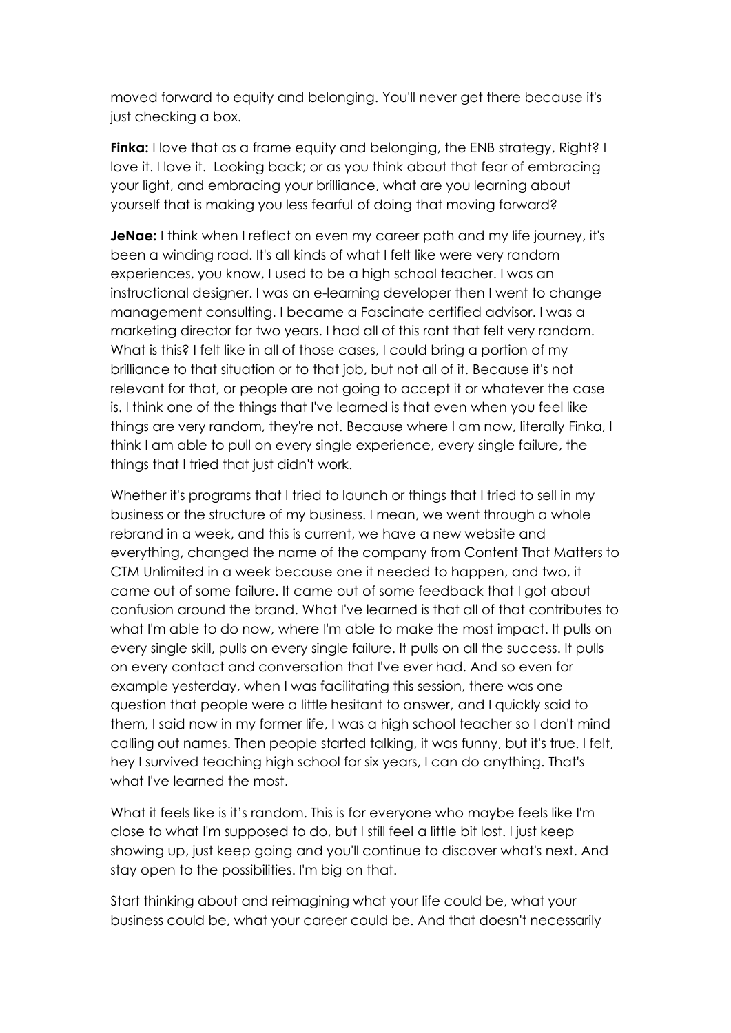moved forward to equity and belonging. You'll never get there because it's just checking a box.

**Finka:** I love that as a frame equity and belonging, the ENB strategy, Right? I love it. I love it. Looking back; or as you think about that fear of embracing your light, and embracing your brilliance, what are you learning about yourself that is making you less fearful of doing that moving forward?

**JeNae:** I think when I reflect on even my career path and my life journey, it's been a winding road. It's all kinds of what I felt like were very random experiences, you know, I used to be a high school teacher. I was an instructional designer. I was an e-learning developer then I went to change management consulting. I became a Fascinate certified advisor. I was a marketing director for two years. I had all of this rant that felt very random. What is this? I felt like in all of those cases, I could bring a portion of my brilliance to that situation or to that job, but not all of it. Because it's not relevant for that, or people are not going to accept it or whatever the case is. I think one of the things that I've learned is that even when you feel like things are very random, they're not. Because where I am now, literally Finka, I think I am able to pull on every single experience, every single failure, the things that I tried that just didn't work.

Whether it's programs that I tried to launch or things that I tried to sell in my business or the structure of my business. I mean, we went through a whole rebrand in a week, and this is current, we have a new website and everything, changed the name of the company from Content That Matters to CTM Unlimited in a week because one it needed to happen, and two, it came out of some failure. It came out of some feedback that I got about confusion around the brand. What I've learned is that all of that contributes to what I'm able to do now, where I'm able to make the most impact. It pulls on every single skill, pulls on every single failure. It pulls on all the success. It pulls on every contact and conversation that I've ever had. And so even for example yesterday, when I was facilitating this session, there was one question that people were a little hesitant to answer, and I quickly said to them, I said now in my former life, I was a high school teacher so I don't mind calling out names. Then people started talking, it was funny, but it's true. I felt, hey I survived teaching high school for six years, I can do anything. That's what I've learned the most.

What it feels like is it's random. This is for everyone who maybe feels like I'm close to what I'm supposed to do, but I still feel a little bit lost. I just keep showing up, just keep going and you'll continue to discover what's next. And stay open to the possibilities. I'm big on that.

Start thinking about and reimagining what your life could be, what your business could be, what your career could be. And that doesn't necessarily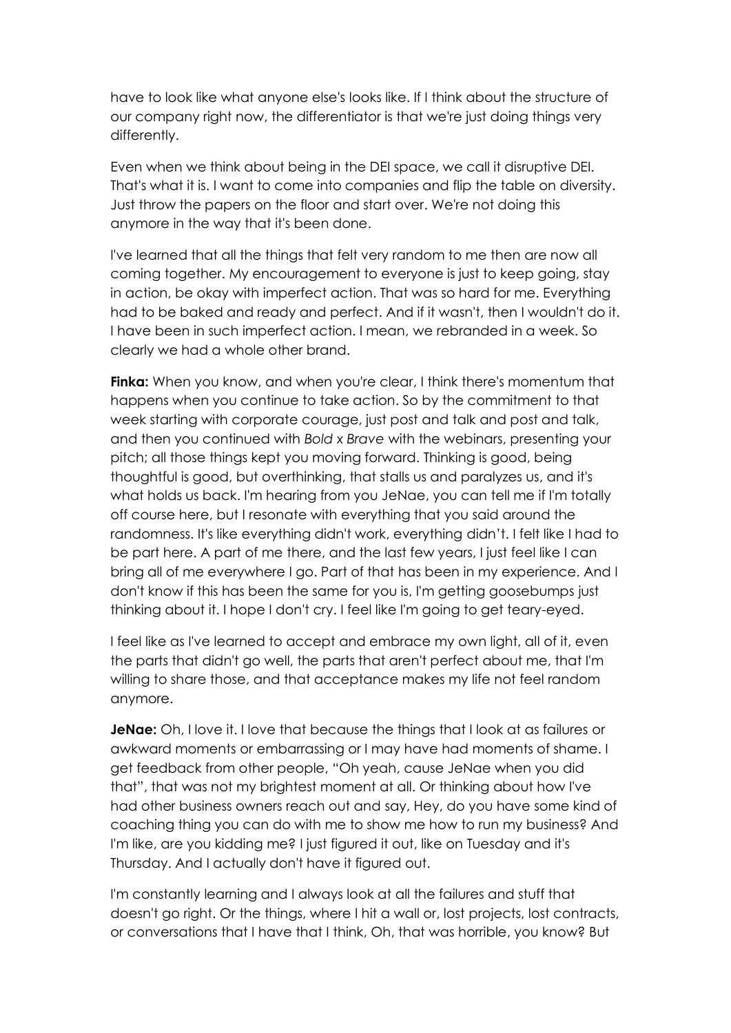have to look like what anyone else's looks like. If I think about the structure of our company right now, the differentiator is that we're just doing things very differently.

Even when we think about being in the DEI space, we call it disruptive DEI. That's what it is. I want to come into companies and flip the table on diversity. Just throw the papers on the floor and start over. We're not doing this anymore in the way that it's been done.

I've learned that all the things that felt very random to me then are now all coming together. My encouragement to everyone is just to keep going, stay in action, be okay with imperfect action. That was so hard for me. Everything had to be baked and ready and perfect. And if it wasn't, then I wouldn't do it. I have been in such imperfect action. I mean, we rebranded in a week. So clearly we had a whole other brand.

**Finka:** When you know, and when you're clear, I think there's momentum that happens when you continue to take action. So by the commitment to that week starting with corporate courage, just post and talk and post and talk, and then you continued with *Bold x Brave* with the webinars, presenting your pitch; all those things kept you moving forward. Thinking is good, being thoughtful is good, but overthinking, that stalls us and paralyzes us, and it's what holds us back. I'm hearing from you JeNae, you can tell me if I'm totally off course here, but I resonate with everything that you said around the randomness. It's like everything didn't work, everything didn't. I felt like I had to be part here. A part of me there, and the last few years, I just feel like I can bring all of me everywhere I go. Part of that has been in my experience. And I don't know if this has been the same for you is, I'm getting goosebumps just thinking about it. I hope I don't cry. I feel like I'm going to get teary-eyed.

I feel like as I've learned to accept and embrace my own light, all of it, even the parts that didn't go well, the parts that aren't perfect about me, that I'm willing to share those, and that acceptance makes my life not feel random anymore.

**JeNae:** Oh, I love it. I love that because the things that I look at as failures or awkward moments or embarrassing or I may have had moments of shame. I get feedback from other people, "Oh yeah, cause JeNae when you did that", that was not my brightest moment at all. Or thinking about how I've had other business owners reach out and say, Hey, do you have some kind of coaching thing you can do with me to show me how to run my business? And I'm like, are you kidding me? I just figured it out, like on Tuesday and it's Thursday. And I actually don't have it figured out.

I'm constantly learning and I always look at all the failures and stuff that doesn't go right. Or the things, where I hit a wall or, lost projects, lost contracts, or conversations that I have that I think, Oh, that was horrible, you know? But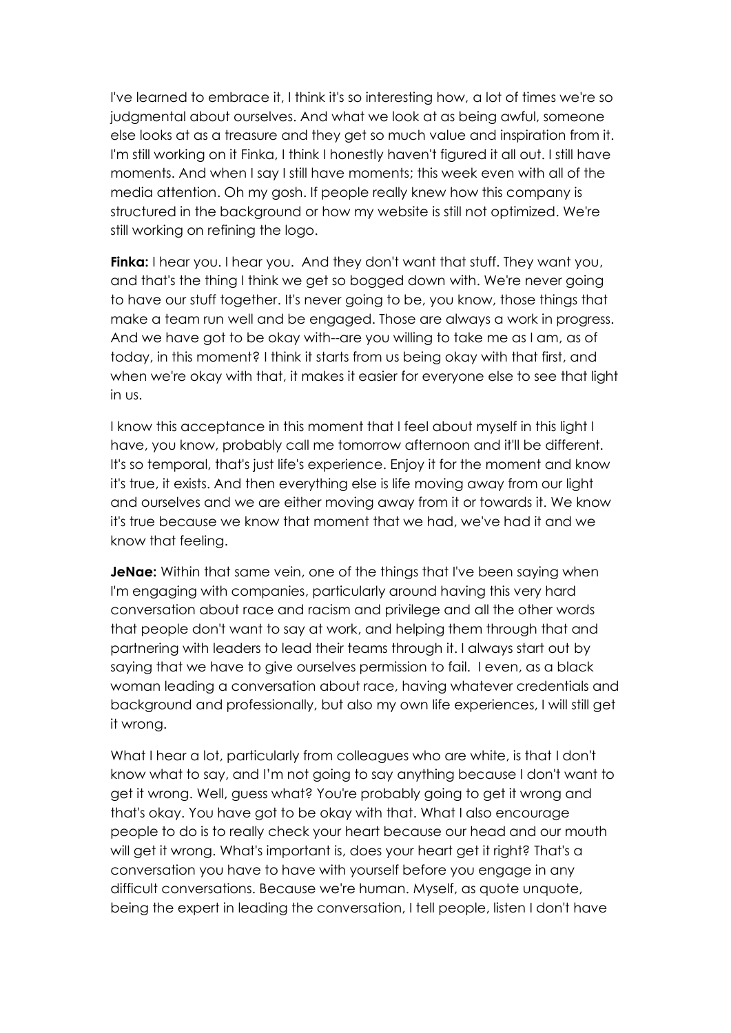I've learned to embrace it, I think it's so interesting how, a lot of times we're so judgmental about ourselves. And what we look at as being awful, someone else looks at as a treasure and they get so much value and inspiration from it. I'm still working on it Finka, I think I honestly haven't figured it all out. I still have moments. And when I say I still have moments; this week even with all of the media attention. Oh my gosh. If people really knew how this company is structured in the background or how my website is still not optimized. We're still working on refining the logo.

**Finka:** I hear you. I hear you. And they don't want that stuff. They want you, and that's the thing I think we get so bogged down with. We're never going to have our stuff together. It's never going to be, you know, those things that make a team run well and be engaged. Those are always a work in progress. And we have got to be okay with--are you willing to take me as I am, as of today, in this moment? I think it starts from us being okay with that first, and when we're okay with that, it makes it easier for everyone else to see that light in us.

I know this acceptance in this moment that I feel about myself in this light I have, you know, probably call me tomorrow afternoon and it'll be different. It's so temporal, that's just life's experience. Enjoy it for the moment and know it's true, it exists. And then everything else is life moving away from our light and ourselves and we are either moving away from it or towards it. We know it's true because we know that moment that we had, we've had it and we know that feeling.

**JeNae:** Within that same vein, one of the things that I've been saying when I'm engaging with companies, particularly around having this very hard conversation about race and racism and privilege and all the other words that people don't want to say at work, and helping them through that and partnering with leaders to lead their teams through it. I always start out by saying that we have to give ourselves permission to fail. I even, as a black woman leading a conversation about race, having whatever credentials and background and professionally, but also my own life experiences, I will still get it wrong.

What I hear a lot, particularly from colleagues who are white, is that I don't know what to say, and I'm not going to say anything because I don't want to get it wrong. Well, guess what? You're probably going to get it wrong and that's okay. You have got to be okay with that. What I also encourage people to do is to really check your heart because our head and our mouth will get it wrong. What's important is, does your heart get it right? That's a conversation you have to have with yourself before you engage in any difficult conversations. Because we're human. Myself, as quote unquote, being the expert in leading the conversation, I tell people, listen I don't have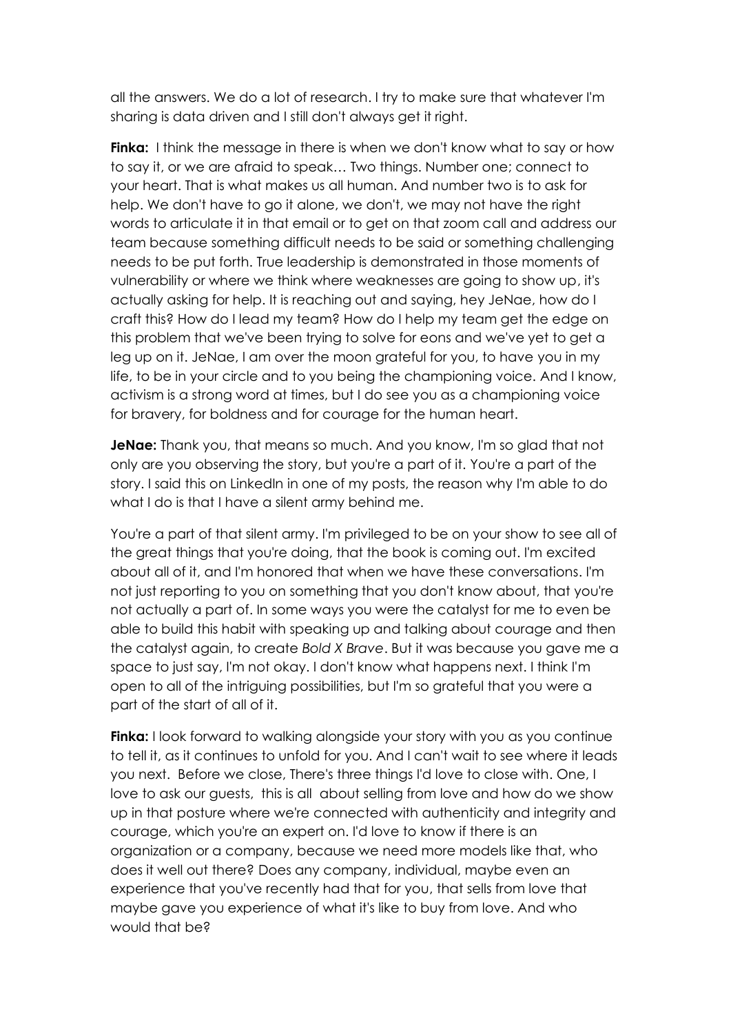all the answers. We do a lot of research. I try to make sure that whatever I'm sharing is data driven and I still don't always get it right.

**Finka:** I think the message in there is when we don't know what to say or how to say it, or we are afraid to speak… Two things. Number one; connect to your heart. That is what makes us all human. And number two is to ask for help. We don't have to go it alone, we don't, we may not have the right words to articulate it in that email or to get on that zoom call and address our team because something difficult needs to be said or something challenging needs to be put forth. True leadership is demonstrated in those moments of vulnerability or where we think where weaknesses are going to show up, it's actually asking for help. It is reaching out and saying, hey JeNae, how do I craft this? How do I lead my team? How do I help my team get the edge on this problem that we've been trying to solve for eons and we've yet to get a leg up on it. JeNae, I am over the moon grateful for you, to have you in my life, to be in your circle and to you being the championing voice. And I know, activism is a strong word at times, but I do see you as a championing voice for bravery, for boldness and for courage for the human heart.

**JeNae:** Thank you, that means so much. And you know, I'm so glad that not only are you observing the story, but you're a part of it. You're a part of the story. I said this on LinkedIn in one of my posts, the reason why I'm able to do what I do is that I have a silent army behind me.

You're a part of that silent army. I'm privileged to be on your show to see all of the great things that you're doing, that the book is coming out. I'm excited about all of it, and I'm honored that when we have these conversations. I'm not just reporting to you on something that you don't know about, that you're not actually a part of. In some ways you were the catalyst for me to even be able to build this habit with speaking up and talking about courage and then the catalyst again, to create *Bold X Brave*. But it was because you gave me a space to just say, I'm not okay. I don't know what happens next. I think I'm open to all of the intriguing possibilities, but I'm so grateful that you were a part of the start of all of it.

**Finka:** I look forward to walking alongside your story with you as you continue to tell it, as it continues to unfold for you. And I can't wait to see where it leads you next. Before we close, There's three things I'd love to close with. One, I love to ask our guests, this is all about selling from love and how do we show up in that posture where we're connected with authenticity and integrity and courage, which you're an expert on. I'd love to know if there is an organization or a company, because we need more models like that, who does it well out there? Does any company, individual, maybe even an experience that you've recently had that for you, that sells from love that maybe gave you experience of what it's like to buy from love. And who would that be?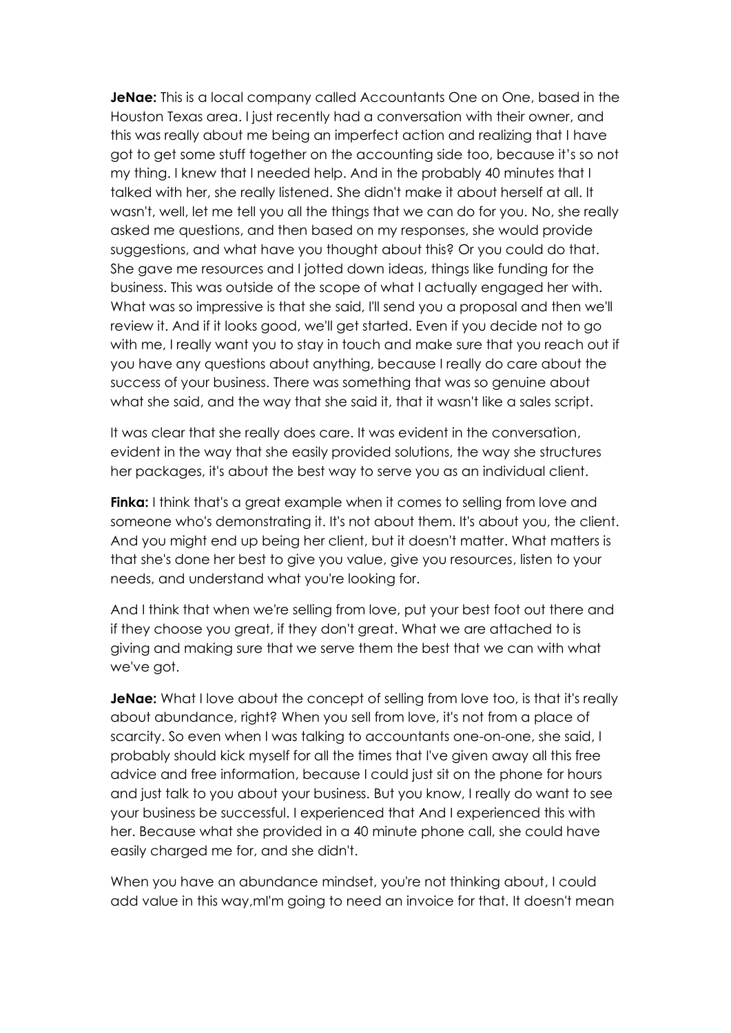**JeNae:** This is a local company called Accountants One on One, based in the Houston Texas area. I just recently had a conversation with their owner, and this was really about me being an imperfect action and realizing that I have got to get some stuff together on the accounting side too, because it's so not my thing. I knew that I needed help. And in the probably 40 minutes that I talked with her, she really listened. She didn't make it about herself at all. It wasn't, well, let me tell you all the things that we can do for you. No, she really asked me questions, and then based on my responses, she would provide suggestions, and what have you thought about this? Or you could do that. She gave me resources and I jotted down ideas, things like funding for the business. This was outside of the scope of what I actually engaged her with. What was so impressive is that she said, I'll send you a proposal and then we'll review it. And if it looks good, we'll get started. Even if you decide not to go with me, I really want you to stay in touch and make sure that you reach out if you have any questions about anything, because I really do care about the success of your business. There was something that was so genuine about what she said, and the way that she said it, that it wasn't like a sales script.

It was clear that she really does care. It was evident in the conversation, evident in the way that she easily provided solutions, the way she structures her packages, it's about the best way to serve you as an individual client.

**Finka:** I think that's a great example when it comes to selling from love and someone who's demonstrating it. It's not about them. It's about you, the client. And you might end up being her client, but it doesn't matter. What matters is that she's done her best to give you value, give you resources, listen to your needs, and understand what you're looking for.

And I think that when we're selling from love, put your best foot out there and if they choose you great, if they don't great. What we are attached to is giving and making sure that we serve them the best that we can with what we've got.

**JeNae:** What I love about the concept of selling from love too, is that it's really about abundance, right? When you sell from love, it's not from a place of scarcity. So even when I was talking to accountants one-on-one, she said, I probably should kick myself for all the times that I've given away all this free advice and free information, because I could just sit on the phone for hours and just talk to you about your business. But you know, I really do want to see your business be successful. I experienced that And I experienced this with her. Because what she provided in a 40 minute phone call, she could have easily charged me for, and she didn't.

When you have an abundance mindset, you're not thinking about, I could add value in this way,mI'm going to need an invoice for that. It doesn't mean